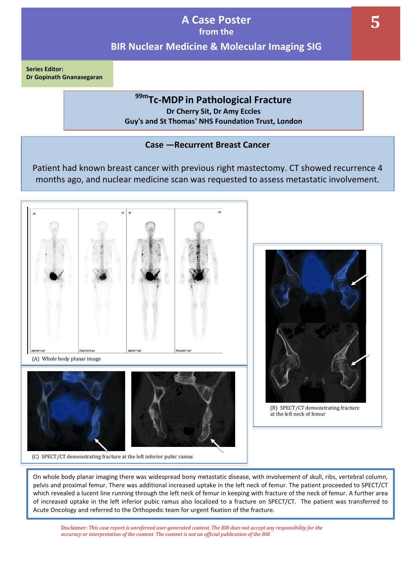**Series Editor: Dr Gopinath Gnanasegaran** 

# **99mTc-MDP in Pathological Fracture Dr Cherry Sit, Dr Amy Eccles**

**Guy's and St Thomas' NHS Foundation Trust, London**

## **Case —Recurrent Breast Cancer**

Patient had known breast cancer with previous right mastectomy. CT showed recurrence 4 months ago, and nuclear medicine scan was requested to assess metastatic involvement.





(B) SPECT/CT demonstrating fracture at the left neck of femur

On whole body planar imaging there was widespread bony metastatic disease, with involvement of skull, ribs, vertebral column, pelvis and proximal femur. There was additional increased uptake in the left neck of femur. The patient proceeded to SPECT/CT which revealed a lucent line running through the left neck of femur in keeping with fracture of the neck of femur. A further area of increased uptake in the left inferior pubic ramus also localized to a fracture on SPECT/CT. The patient was transferred to Acute Oncology and referred to the Orthopedic team for urgent fixation of the fracture.

Disclaimer: *This case report is unrefereed user-generated content. The BIR does not accept any responsibility for the accuracy or interpretation of the content. The content is not an official publication of the BIR*